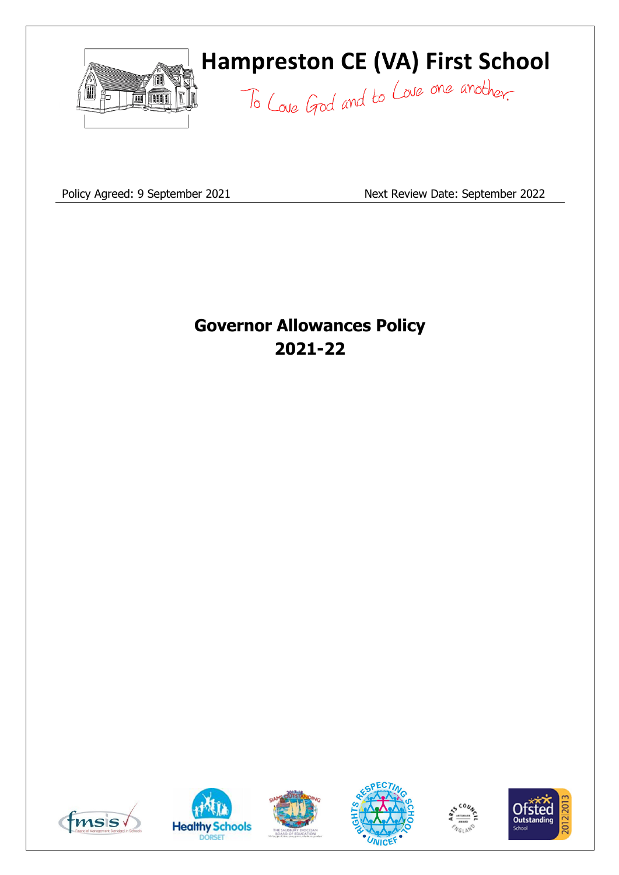

# **Hampreston CE (VA) First School**

To Love God and to Love one another.

Policy Agreed: 9 September 2021 Next Review Date: September 2022

# **Governor Allowances Policy 2021-22**











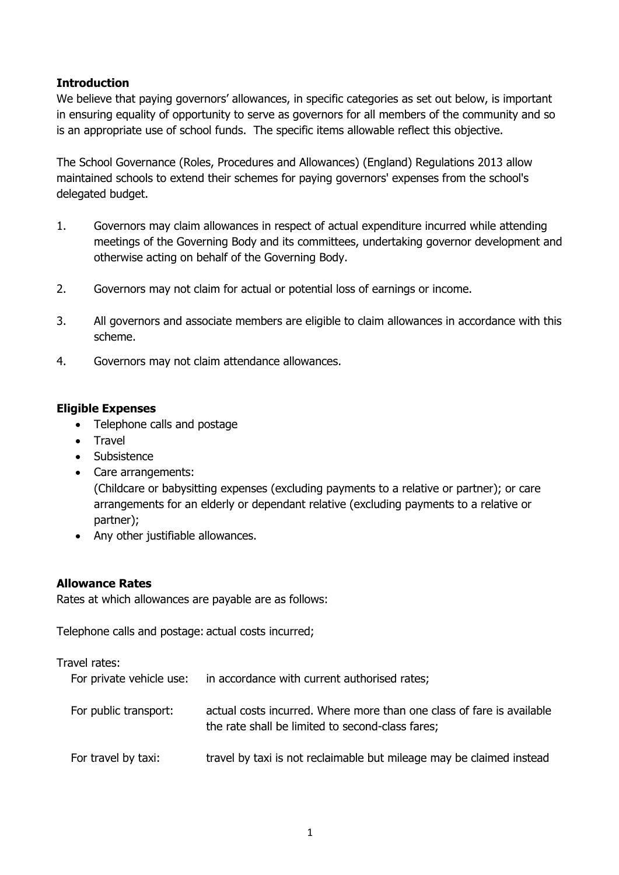### **Introduction**

We believe that paying governors' allowances, in specific categories as set out below, is important in ensuring equality of opportunity to serve as governors for all members of the community and so is an appropriate use of school funds. The specific items allowable reflect this objective.

The School Governance (Roles, Procedures and Allowances) (England) Regulations 2013 allow maintained schools to extend their schemes for paying governors' expenses from the school's delegated budget.

- 1. Governors may claim allowances in respect of actual expenditure incurred while attending meetings of the Governing Body and its committees, undertaking governor development and otherwise acting on behalf of the Governing Body.
- 2. Governors may not claim for actual or potential loss of earnings or income.
- 3. All governors and associate members are eligible to claim allowances in accordance with this scheme.
- 4. Governors may not claim attendance allowances.

#### **Eligible Expenses**

- Telephone calls and postage
- Travel
- Subsistence
- Care arrangements:

(Childcare or babysitting expenses (excluding payments to a relative or partner); or care arrangements for an elderly or dependant relative (excluding payments to a relative or partner);

• Any other justifiable allowances.

#### **Allowance Rates**

Rates at which allowances are payable are as follows:

Telephone calls and postage: actual costs incurred;

| Travel rates:<br>For private vehicle use: | in accordance with current authorised rates;                                                                              |
|-------------------------------------------|---------------------------------------------------------------------------------------------------------------------------|
| For public transport:                     | actual costs incurred. Where more than one class of fare is available<br>the rate shall be limited to second-class fares; |
| For travel by taxi:                       | travel by taxi is not reclaimable but mileage may be claimed instead                                                      |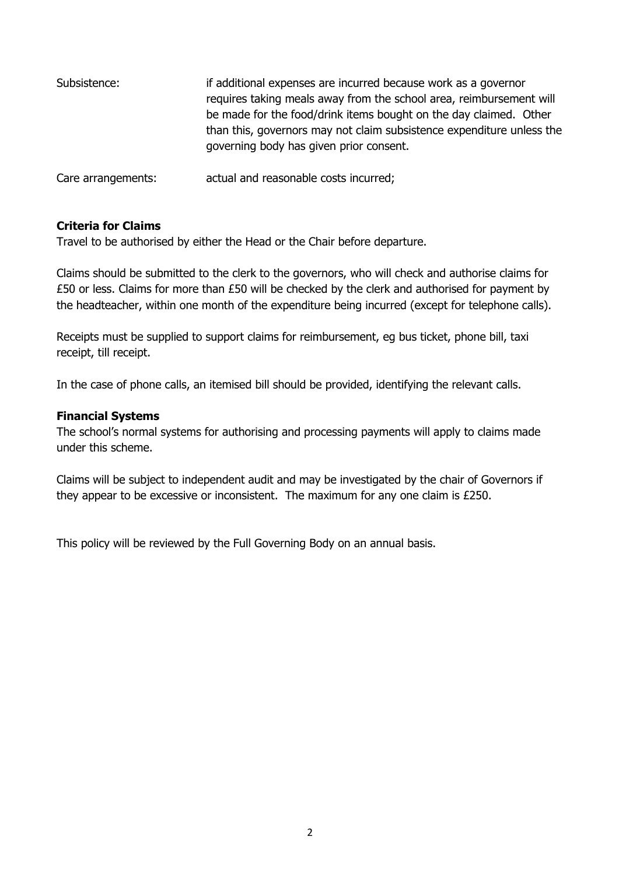| Subsistence:       | if additional expenses are incurred because work as a governor<br>requires taking meals away from the school area, reimbursement will<br>be made for the food/drink items bought on the day claimed. Other<br>than this, governors may not claim subsistence expenditure unless the<br>governing body has given prior consent. |
|--------------------|--------------------------------------------------------------------------------------------------------------------------------------------------------------------------------------------------------------------------------------------------------------------------------------------------------------------------------|
| Care arrangements: | actual and reasonable costs incurred;                                                                                                                                                                                                                                                                                          |

### **Criteria for Claims**

Travel to be authorised by either the Head or the Chair before departure.

Claims should be submitted to the clerk to the governors, who will check and authorise claims for £50 or less. Claims for more than £50 will be checked by the clerk and authorised for payment by the headteacher, within one month of the expenditure being incurred (except for telephone calls).

Receipts must be supplied to support claims for reimbursement, eg bus ticket, phone bill, taxi receipt, till receipt.

In the case of phone calls, an itemised bill should be provided, identifying the relevant calls.

#### **Financial Systems**

The school's normal systems for authorising and processing payments will apply to claims made under this scheme.

Claims will be subject to independent audit and may be investigated by the chair of Governors if they appear to be excessive or inconsistent. The maximum for any one claim is £250.

This policy will be reviewed by the Full Governing Body on an annual basis.